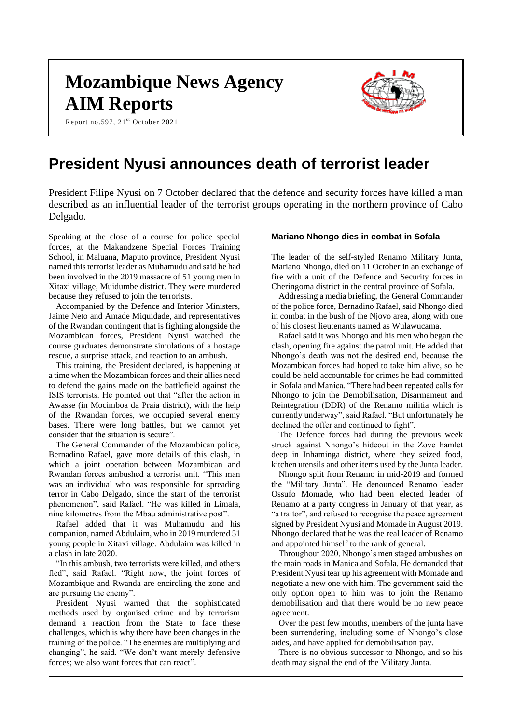# **Mozambique News Agency AIM Reports**

Report no.597, 21st October 2021



# **President Nyusi announces death of terrorist leader**

President Filipe Nyusi on 7 October declared that the defence and security forces have killed a man described as an influential leader of the terrorist groups operating in the northern province of Cabo Delgado.

Speaking at the close of a course for police special forces, at the Makandzene Special Forces Training School, in Maluana, Maputo province, President Nyusi named this terrorist leader as Muhamudu and said he had been involved in the 2019 massacre of 51 young men in Xitaxi village, Muidumbe district. They were murdered because they refused to join the terrorists.

Accompanied by the Defence and Interior Ministers, Jaime Neto and Amade Miquidade, and representatives of the Rwandan contingent that is fighting alongside the Mozambican forces, President Nyusi watched the course graduates demonstrate simulations of a hostage rescue, a surprise attack, and reaction to an ambush.

This training, the President declared, is happening at a time when the Mozambican forces and their allies need to defend the gains made on the battlefield against the ISIS terrorists. He pointed out that "after the action in Awasse (in Mocimboa da Praia district), with the help of the Rwandan forces, we occupied several enemy bases. There were long battles, but we cannot yet consider that the situation is secure".

The General Commander of the Mozambican police, Bernadino Rafael, gave more details of this clash, in which a joint operation between Mozambican and Rwandan forces ambushed a terrorist unit. "This man was an individual who was responsible for spreading terror in Cabo Delgado, since the start of the terrorist phenomenon", said Rafael. "He was killed in Limala, nine kilometres from the Mbau administrative post".

Rafael added that it was Muhamudu and his companion, named Abdulaim, who in 2019 murdered 51 young people in Xitaxi village. Abdulaim was killed in a clash in late 2020.

"In this ambush, two terrorists were killed, and others fled", said Rafael. "Right now, the joint forces of Mozambique and Rwanda are encircling the zone and are pursuing the enemy".

President Nyusi warned that the sophisticated methods used by organised crime and by terrorism demand a reaction from the State to face these challenges, which is why there have been changes in the training of the police. "The enemies are multiplying and changing", he said. "We don't want merely defensive forces; we also want forces that can react".

#### **Mariano Nhongo dies in combat in Sofala**

The leader of the self-styled Renamo Military Junta, Mariano Nhongo, died on 11 October in an exchange of fire with a unit of the Defence and Security forces in Cheringoma district in the central province of Sofala.

Addressing a media briefing, the General Commander of the police force, Bernadino Rafael, said Nhongo died in combat in the bush of the Njovo area, along with one of his closest lieutenants named as Wulawucama.

Rafael said it was Nhongo and his men who began the clash, opening fire against the patrol unit. He added that Nhongo's death was not the desired end, because the Mozambican forces had hoped to take him alive, so he could be held accountable for crimes he had committed in Sofala and Manica. "There had been repeated calls for Nhongo to join the Demobilisation, Disarmament and Reintegration (DDR) of the Renamo militia which is currently underway", said Rafael. "But unfortunately he declined the offer and continued to fight".

The Defence forces had during the previous week struck against Nhongo's hideout in the Zove hamlet deep in Inhaminga district, where they seized food, kitchen utensils and other items used by the Junta leader.

Nhongo split from Renamo in mid-2019 and formed the "Military Junta". He denounced Renamo leader Ossufo Momade, who had been elected leader of Renamo at a party congress in January of that year, as "a traitor", and refused to recognise the peace agreement signed by President Nyusi and Momade in August 2019. Nhongo declared that he was the real leader of Renamo and appointed himself to the rank of general.

Throughout 2020, Nhongo's men staged ambushes on the main roads in Manica and Sofala. He demanded that President Nyusi tear up his agreement with Momade and negotiate a new one with him. The government said the only option open to him was to join the Renamo demobilisation and that there would be no new peace agreement.

Over the past few months, members of the junta have been surrendering, including some of Nhongo's close aides, and have applied for demobilisation pay.

There is no obvious successor to Nhongo, and so his death may signal the end of the Military Junta.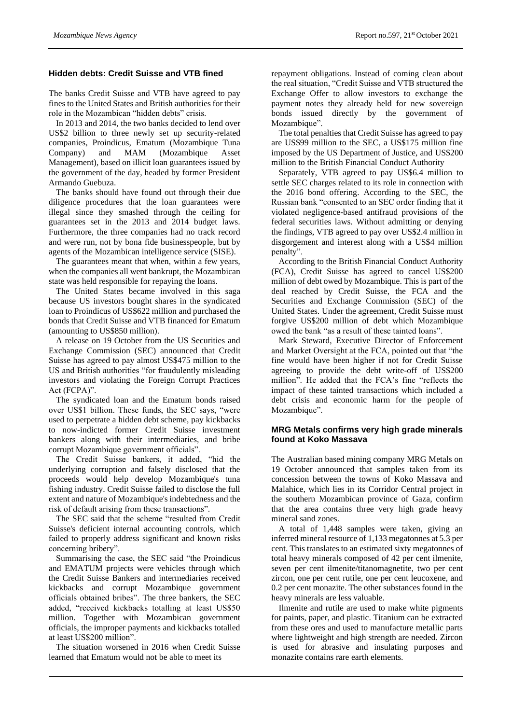#### **Hidden debts: Credit Suisse and VTB fined**

The banks Credit Suisse and VTB have agreed to pay fines to the United States and British authorities for their role in the Mozambican "hidden debts" crisis.

In 2013 and 2014, the two banks decided to lend over US\$2 billion to three newly set up security-related companies, Proindicus, Ematum (Mozambique Tuna Company) and MAM (Mozambique Asset Management), based on illicit loan guarantees issued by the government of the day, headed by former President Armando Guebuza.

The banks should have found out through their due diligence procedures that the loan guarantees were illegal since they smashed through the ceiling for guarantees set in the 2013 and 2014 budget laws. Furthermore, the three companies had no track record and were run, not by bona fide businesspeople, but by agents of the Mozambican intelligence service (SISE).

The guarantees meant that when, within a few years, when the companies all went bankrupt, the Mozambican state was held responsible for repaying the loans.

The United States became involved in this saga because US investors bought shares in the syndicated loan to Proindicus of US\$622 million and purchased the bonds that Credit Suisse and VTB financed for Ematum (amounting to US\$850 million).

A release on 19 October from the US Securities and Exchange Commission (SEC) announced that Credit Suisse has agreed to pay almost US\$475 million to the US and British authorities "for fraudulently misleading investors and violating the Foreign Corrupt Practices Act (FCPA)".

The syndicated loan and the Ematum bonds raised over US\$1 billion. These funds, the SEC says, "were used to perpetrate a hidden debt scheme, pay kickbacks to now-indicted former Credit Suisse investment bankers along with their intermediaries, and bribe corrupt Mozambique government officials".

The Credit Suisse bankers, it added, "hid the underlying corruption and falsely disclosed that the proceeds would help develop Mozambique's tuna fishing industry. Credit Suisse failed to disclose the full extent and nature of Mozambique's indebtedness and the risk of default arising from these transactions".

The SEC said that the scheme "resulted from Credit Suisse's deficient internal accounting controls, which failed to properly address significant and known risks concerning bribery".

Summarising the case, the SEC said "the Proindicus and EMATUM projects were vehicles through which the Credit Suisse Bankers and intermediaries received kickbacks and corrupt Mozambique government officials obtained bribes". The three bankers, the SEC added, "received kickbacks totalling at least US\$50 million. Together with Mozambican government officials, the improper payments and kickbacks totalled at least US\$200 million".

The situation worsened in 2016 when Credit Suisse learned that Ematum would not be able to meet its

repayment obligations. Instead of coming clean about the real situation, "Credit Suisse and VTB structured the Exchange Offer to allow investors to exchange the payment notes they already held for new sovereign bonds issued directly by the government of Mozambique".

The total penalties that Credit Suisse has agreed to pay are US\$99 million to the SEC, a US\$175 million fine imposed by the US Department of Justice, and US\$200 million to the British Financial Conduct Authority

Separately, VTB agreed to pay US\$6.4 million to settle SEC charges related to its role in connection with the 2016 bond offering. According to the SEC, the Russian bank "consented to an SEC order finding that it violated negligence-based antifraud provisions of the federal securities laws. Without admitting or denying the findings, VTB agreed to pay over US\$2.4 million in disgorgement and interest along with a US\$4 million penalty".

According to the British Financial Conduct Authority (FCA), Credit Suisse has agreed to cancel US\$200 million of debt owed by Mozambique. This is part of the deal reached by Credit Suisse, the FCA and the Securities and Exchange Commission (SEC) of the United States. Under the agreement, Credit Suisse must forgive US\$200 million of debt which Mozambique owed the bank "as a result of these tainted loans".

Mark Steward, Executive Director of Enforcement and Market Oversight at the FCA, pointed out that "the fine would have been higher if not for Credit Suisse agreeing to provide the debt write-off of US\$200 million". He added that the FCA's fine "reflects the impact of these tainted transactions which included a debt crisis and economic harm for the people of Mozambique".

#### **MRG Metals confirms very high grade minerals found at Koko Massava**

The Australian based mining company MRG Metals on 19 October announced that samples taken from its concession between the towns of Koko Massava and Malahice, which lies in its Corridor Central project in the southern Mozambican province of Gaza, confirm that the area contains three very high grade heavy mineral sand zones.

A total of 1,448 samples were taken, giving an inferred mineral resource of 1,133 megatonnes at 5.3 per cent. This translates to an estimated sixty megatonnes of total heavy minerals composed of 42 per cent ilmenite, seven per cent ilmenite/titanomagnetite, two per cent zircon, one per cent rutile, one per cent leucoxene, and 0.2 per cent monazite. The other substances found in the heavy minerals are less valuable.

Ilmenite and rutile are used to make white pigments for paints, paper, and plastic. Titanium can be extracted from these ores and used to manufacture metallic parts where lightweight and high strength are needed. Zircon is used for abrasive and insulating purposes and monazite contains rare earth elements.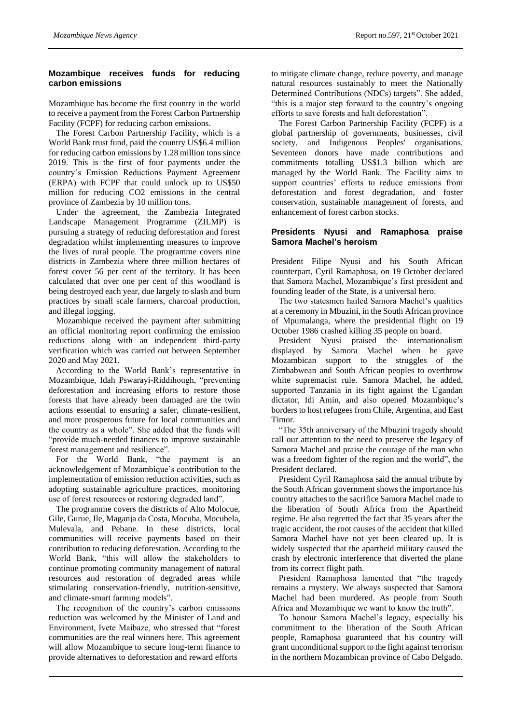## **Mozambique receives funds for reducing carbon emissions**

Mozambique has become the first country in the world to receive a payment from the Forest Carbon Partnership Facility (FCPF) for reducing carbon emissions.

The Forest Carbon Partnership Facility, which is a World Bank trust fund, paid the country US\$6.4 million for reducing carbon emissions by 1.28 million tons since 2019. This is the first of four payments under the country's Emission Reductions Payment Agreement (ERPA) with FCPF that could unlock up to US\$50 million for reducing CO2 emissions in the central province of Zambezia by 10 million tons.

Under the agreement, the Zambezia Integrated Landscape Management Programme (ZILMP) is pursuing a strategy of reducing deforestation and forest degradation whilst implementing measures to improve the lives of rural people. The programme covers nine districts in Zambezia where three million hectares of forest cover 56 per cent of the territory. It has been calculated that over one per cent of this woodland is being destroyed each year, due largely to slash and burn practices by small scale farmers, charcoal production, and illegal logging.

Mozambique received the payment after submitting an official monitoring report confirming the emission reductions along with an independent third-party verification which was carried out between September 2020 and May 2021.

According to the World Bank's representative in Mozambique, Idah Pswarayi-Riddihough, "preventing deforestation and increasing efforts to restore those forests that have already been damaged are the twin actions essential to ensuring a safer, climate-resilient, and more prosperous future for local communities and the country as a whole". She added that the funds will "provide much-needed finances to improve sustainable forest management and resilience".

For the World Bank, "the payment is an acknowledgement of Mozambique's contribution to the implementation of emission reduction activities, such as adopting sustainable agriculture practices, monitoring use of forest resources or restoring degraded land".

The programme covers the districts of Alto Molocue, Gile, Gurue, Ile, Maganja da Costa, Mocuba, Mocubela, Mulevala, and Pebane. In these districts, local communities will receive payments based on their contribution to reducing deforestation. According to the World Bank, "this will allow the stakeholders to continue promoting community management of natural resources and restoration of degraded areas while stimulating conservation-friendly, nutrition-sensitive, and climate-smart farming models".

The recognition of the country's carbon emissions reduction was welcomed by the Minister of Land and Environment, Ivete Maibaze, who stressed that "forest communities are the real winners here. This agreement will allow Mozambique to secure long-term finance to provide alternatives to deforestation and reward efforts

to mitigate climate change, reduce poverty, and manage natural resources sustainably to meet the Nationally Determined Contributions (NDCs) targets". She added, "this is a major step forward to the country's ongoing efforts to save forests and halt deforestation".

The Forest Carbon Partnership Facility (FCPF) is a global partnership of governments, businesses, civil society, and Indigenous Peoples' organisations. Seventeen donors have made contributions and commitments totalling US\$1.3 billion which are managed by the World Bank. The Facility aims to support countries' efforts to reduce emissions from deforestation and forest degradation, and foster conservation, sustainable management of forests, and enhancement of forest carbon stocks.

## **Presidents Nyusi and Ramaphosa praise Samora Machel's heroism**

President Filipe Nyusi and his South African counterpart, Cyril Ramaphosa, on 19 October declared that Samora Machel, Mozambique's first president and founding leader of the State, is a universal hero.

The two statesmen hailed Samora Machel's qualities at a ceremony in Mbuzini, in the South African province of Mpumalanga, where the presidential flight on 19 October 1986 crashed killing 35 people on board.

President Nyusi praised the internationalism displayed by Samora Machel when he gave Mozambican support to the struggles of the Zimbabwean and South African peoples to overthrow white supremacist rule. Samora Machel, he added, supported Tanzania in its fight against the Ugandan dictator, Idi Amin, and also opened Mozambique's borders to host refugees from Chile, Argentina, and East Timor.

"The 35th anniversary of the Mbuzini tragedy should call our attention to the need to preserve the legacy of Samora Machel and praise the courage of the man who was a freedom fighter of the region and the world", the President declared.

President Cyril Ramaphosa said the annual tribute by the South African government shows the importance his country attaches to the sacrifice Samora Machel made to the liberation of South Africa from the Apartheid regime. He also regretted the fact that 35 years after the tragic accident, the root causes of the accident that killed Samora Machel have not yet been cleared up. It is widely suspected that the apartheid military caused the crash by electronic interference that diverted the plane from its correct flight path.

President Ramaphosa lamented that "the tragedy remains a mystery. We always suspected that Samora Machel had been murdered. As people from South Africa and Mozambique we want to know the truth".

To honour Samora Machel's legacy, especially his commitment to the liberation of the South African people, Ramaphosa guaranteed that his country will grant unconditional support to the fight against terrorism in the northern Mozambican province of Cabo Delgado.